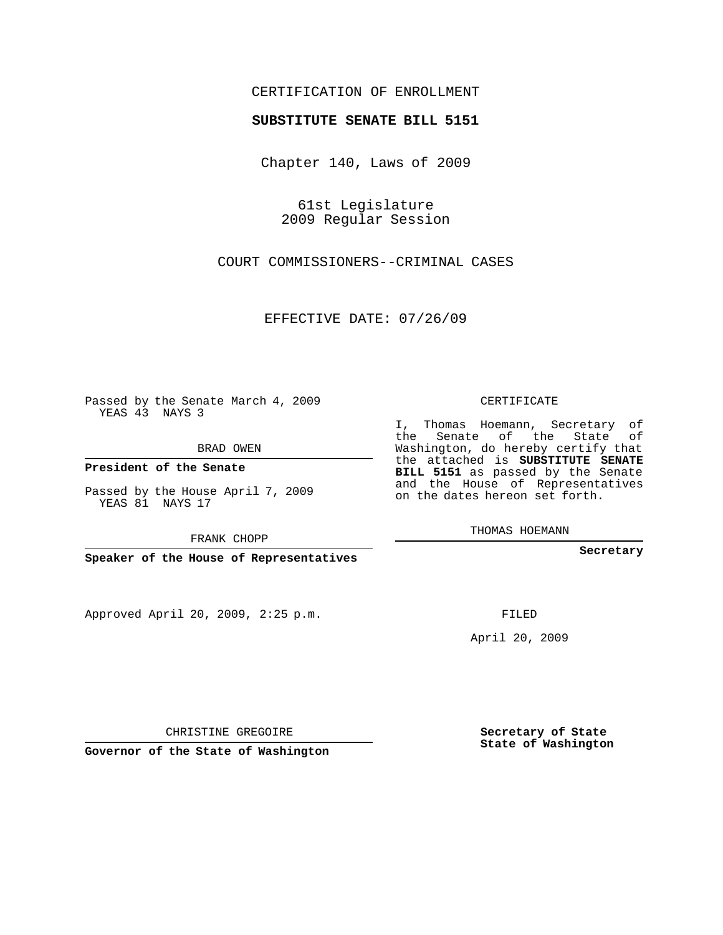## CERTIFICATION OF ENROLLMENT

## **SUBSTITUTE SENATE BILL 5151**

Chapter 140, Laws of 2009

61st Legislature 2009 Regular Session

COURT COMMISSIONERS--CRIMINAL CASES

EFFECTIVE DATE: 07/26/09

Passed by the Senate March 4, 2009 YEAS 43 NAYS 3

BRAD OWEN

**President of the Senate**

Passed by the House April 7, 2009 YEAS 81 NAYS 17

FRANK CHOPP

**Speaker of the House of Representatives**

Approved April 20, 2009, 2:25 p.m.

CERTIFICATE

I, Thomas Hoemann, Secretary of the Senate of the State of Washington, do hereby certify that the attached is **SUBSTITUTE SENATE BILL 5151** as passed by the Senate and the House of Representatives on the dates hereon set forth.

THOMAS HOEMANN

**Secretary**

FILED

April 20, 2009

**Secretary of State State of Washington**

CHRISTINE GREGOIRE

**Governor of the State of Washington**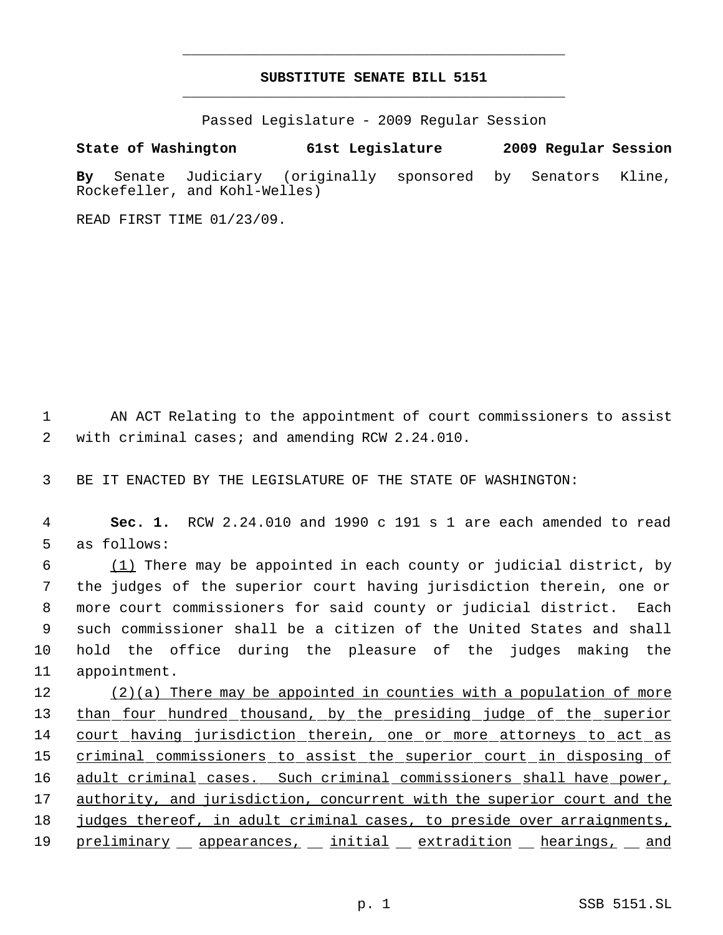## **SUBSTITUTE SENATE BILL 5151** \_\_\_\_\_\_\_\_\_\_\_\_\_\_\_\_\_\_\_\_\_\_\_\_\_\_\_\_\_\_\_\_\_\_\_\_\_\_\_\_\_\_\_\_\_

\_\_\_\_\_\_\_\_\_\_\_\_\_\_\_\_\_\_\_\_\_\_\_\_\_\_\_\_\_\_\_\_\_\_\_\_\_\_\_\_\_\_\_\_\_

Passed Legislature - 2009 Regular Session

**State of Washington 61st Legislature 2009 Regular Session**

**By** Senate Judiciary (originally sponsored by Senators Kline, Rockefeller, and Kohl-Welles)

READ FIRST TIME 01/23/09.

 1 AN ACT Relating to the appointment of court commissioners to assist 2 with criminal cases; and amending RCW 2.24.010.

3 BE IT ENACTED BY THE LEGISLATURE OF THE STATE OF WASHINGTON:

 4 **Sec. 1.** RCW 2.24.010 and 1990 c 191 s 1 are each amended to read 5 as follows:

 (1) There may be appointed in each county or judicial district, by the judges of the superior court having jurisdiction therein, one or more court commissioners for said county or judicial district. Each such commissioner shall be a citizen of the United States and shall hold the office during the pleasure of the judges making the appointment.

12 (2)(a) There may be appointed in counties with a population of more 13 than four hundred thousand, by the presiding judge of the superior 14 court having jurisdiction therein, one or more attorneys to act as 15 criminal commissioners to assist the superior court in disposing of 16 adult criminal cases. Such criminal commissioners shall have power, 17 authority, and jurisdiction, concurrent with the superior court and the 18 judges thereof, in adult criminal cases, to preside over arraignments, 19 preliminary appearances, initial extradition hearings, and